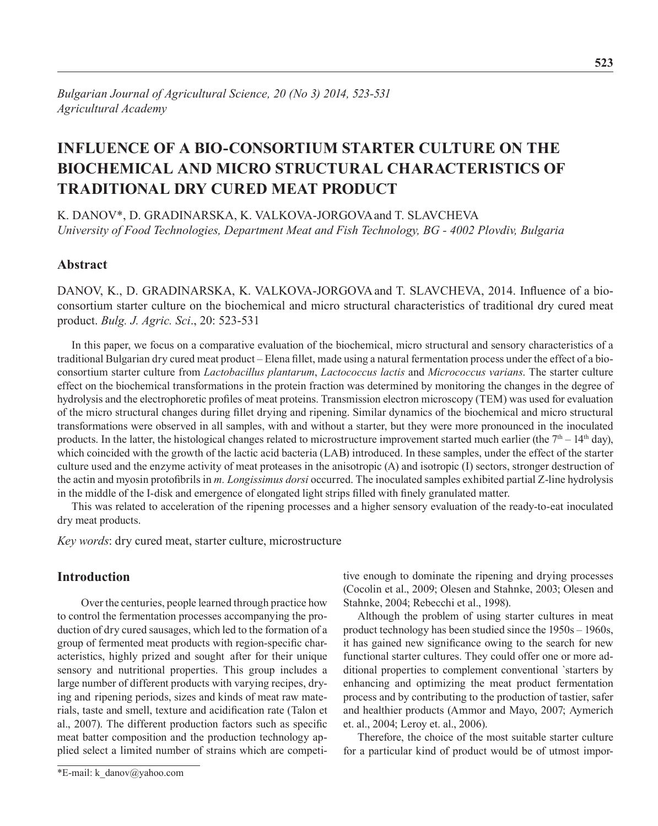# **Influence of a bio-consortium starter culture on the biochemical and micro structural characteristics of traditional dry cured meat product**

K. Danov\*, D. Gradinarska, K. Valkova-Jorgovaand T. Slavcheva *University of Food Technologies, Department Meat and Fish Technology, BG - 4002 Plovdiv, Bulgaria*

# **Abstract**

DANOV, K., D. GRADINARSKA, K. VALKOVA-JORGOVA and T. SLAVCHEVA, 2014. Influence of a bioconsortium starter culture on the biochemical and micro structural characteristics of traditional dry cured meat product. *Bulg. J. Agric. Sci*., 20: 523-531

In this paper, we focus on a comparative evaluation of the biochemical, micro structural and sensory characteristics of a traditional Bulgarian dry cured meat product – Elena fillet, made using a natural fermentation process under the effect of a bioconsortium starter culture from *Lactobacillus plantarum*, *Lactococcus lactis* and *Micrococcus varians*. The starter culture effect on the biochemical transformations in the protein fraction was determined by monitoring the changes in the degree of hydrolysis and the electrophoretic profiles of meat proteins. Transmission electron microscopy (TEM) was used for evaluation of the micro structural changes during fillet drying and ripening. Similar dynamics of the biochemical and micro structural transformations were observed in all samples, with and without a starter, but they were more pronounced in the inoculated products. In the latter, the histological changes related to microstructure improvement started much earlier (the 7<sup>th</sup> – 14<sup>th</sup> day), which coincided with the growth of the lactic acid bacteria (LAB) introduced. In these samples, under the effect of the starter culture used and the enzyme activity of meat proteases in the anisotropic (A) and isotropic (I) sectors, stronger destruction of the actin and myosin protofibrils in *m. Longissimus dorsi* occurred. The inoculated samples exhibited partial Z-line hydrolysis in the middle of the I-disk and emergence of elongated light strips filled with finely granulated matter.

This was related to acceleration of the ripening processes and a higher sensory evaluation of the ready-to-eat inoculated dry meat products.

*Key words*: dry cured meat, starter culture, microstructure

# **Introduction**

Over the centuries, people learned through practice how to control the fermentation processes accompanying the production of dry cured sausages, which led to the formation of a group of fermented meat products with region-specific characteristics, highly prized and sought after for their unique sensory and nutritional properties. This group includes a large number of different products with varying recipes, drying and ripening periods, sizes and kinds of meat raw materials, taste and smell, texture and acidification rate (Talon et al., 2007). The different production factors such as specific meat batter composition and the production technology applied select a limited number of strains which are competitive enough to dominate the ripening and drying processes (Cocolin et al., 2009; Olesen and Stahnke, 2003; Olesen and Stahnke, 2004; Rebecchi et al., 1998).

Although the problem of using starter cultures in meat product technology has been studied since the 1950s – 1960s, it has gained new significance owing to the search for new functional starter cultures. They could offer one or more additional properties to complement conventional `starters by enhancing and optimizing the meat product fermentation process and by contributing to the production of tastier, safer and healthier products (Ammor and Mayo, 2007; Aymerich et. al., 2004; Leroy et. al., 2006).

Therefore, the choice of the most suitable starter culture for a particular kind of product would be of utmost impor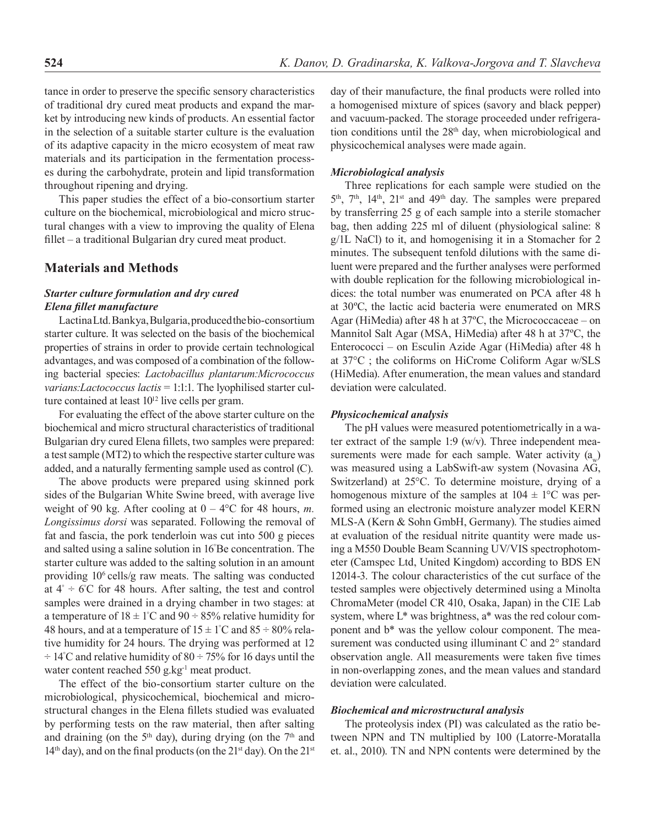tance in order to preserve the specific sensory characteristics of traditional dry cured meat products and expand the market by introducing new kinds of products. An essential factor in the selection of a suitable starter culture is the evaluation of its adaptive capacity in the micro ecosystem of meat raw materials and its participation in the fermentation processes during the carbohydrate, protein and lipid transformation throughout ripening and drying.

This paper studies the effect of a bio-consortium starter culture on the biochemical, microbiological and micro structural changes with a view to improving the quality of Elena fillet – a traditional Bulgarian dry cured meat product.

### **Materials and Methods**

#### *Starter culture formulation and dry cured Elena fillet manufacture*

Lactina Ltd. Bankya, Bulgaria, produced the bio-consortium starter culture. It was selected on the basis of the biochemical properties of strains in order to provide certain technological advantages, and was composed of a combination of the following bacterial species: *Lactobacillus plantarum:Micrococcus varians:Lactococcus lactis* = 1:1:1. The lyophilised starter culture contained at least  $10^{12}$  live cells per gram.

For evaluating the effect of the above starter culture on the biochemical and micro structural characteristics of traditional Bulgarian dry cured Elena fillets, two samples were prepared: a test sample (МТ2) to which the respective starter culture was added, and a naturally fermenting sample used as control (С).

The above products were prepared using skinned pork sides of the Bulgarian White Swine breed, with average live weight of 90 kg. After cooling at  $0 - 4$ °C for 48 hours, *m*. *Longissimus dorsi* was separated. Following the removal of fat and fascia, the pork tenderloin was cut into 500 g pieces and salted using a saline solution in 16° Ве concentration. The starter culture was added to the salting solution in an amount providing 106 cells/g raw meats. The salting was conducted at  $4^\circ$  ÷ 6°C for 48 hours. After salting, the test and control samples were drained in a drying chamber in two stages: at a temperature of  $18 \pm 1^{\circ}$ C and  $90 \div 85\%$  relative humidity for 48 hours, and at a temperature of  $15 \pm 1^{\circ}\text{C}$  and  $85 \div 80\%$  relative humidity for 24 hours. The drying was performed at 12  $\div$  14°C and relative humidity of 80  $\div$  75% for 16 days until the water content reached 550 g.kg<sup>-1</sup> meat product.

The effect of the bio-consortium starter culture on the microbiological, physicochemical, biochemical and microstructural changes in the Elena fillets studied was evaluated by performing tests on the raw material, then after salting and draining (on the  $5<sup>th</sup>$  day), during drying (on the  $7<sup>th</sup>$  and 14<sup>th</sup> day), and on the final products (on the 21<sup>st</sup> day). On the 21<sup>st</sup> day of their manufacture, the final products were rolled into a homogenised mixture of spices (savory and black pepper) and vacuum-packed. The storage proceeded under refrigeration conditions until the  $28<sup>th</sup>$  day, when microbiological and physicochemical analyses were made again.

#### *Microbiological analysis*

Three replications for each sample were studied on the 5<sup>th</sup>, 7<sup>th</sup>, 14<sup>th</sup>, 21<sup>st</sup> and 49<sup>th</sup> day. The samples were prepared by transferring 25 g of each sample into a sterile stomacher bag, then adding 225 ml of diluent (physiological saline: 8 g/1L NaCl) to it, and homogenising it in a Stomacher for 2 minutes. The subsequent tenfold dilutions with the same diluent were prepared and the further analyses were performed with double replication for the following microbiological indices: the total number was enumerated on PCA after 48 h at 30ºС, the lactic acid bacteria were enumerated on MRS Agar (НiMedia) after 48 h at 37ºC, the Micrococcaceae – on Mannitol Salt Agar (MSA, HiMedia) after 48 h at 37ºC, the Enterococci – on Esculin Azide Agar (HiMedia) after 48 h at 37°C ; the coliforms on HiCrome Coliform Agar w/SLS (HiMedia). After enumeration, the mean values and standard deviation were calculated.

#### *Physicochemical analysis*

The pH values were measured potentiometrically in a water extract of the sample 1:9 (w/v). Three independent measurements were made for each sample. Water activity  $(a<sub>m</sub>)$ was measured using a LabSwift-aw system (Novasina AG, Switzerland) at 25°C. To determine moisture, drying of a homogenous mixture of the samples at  $104 \pm 1$ °C was performed using an electronic moisture analyzer model KERN MLS-A (Kern & Sohn GmbH, Germany). The studies aimed at evaluation of the residual nitrite quantity were made using a М550 Double Beam Scanning UV/VIS spectrophotometer (Camspec Ltd, United Kingdom) according to BDS EN 12014-3. The colour characteristics of the cut surface of the tested samples were objectively determined using a Minolta ChromaMeter (model CR 410, Osaka, Japan) in the CIE Lab system, where L\* was brightness, a\* was the red colour component and b\* was the yellow colour component. The measurement was conducted using illuminant C and 2° standard observation angle. All measurements were taken five times in non-overlapping zones, and the mean values and standard deviation were calculated.

#### *Biochemical and microstructural analysis*

The proteolysis index (PI) was calculated as the ratio between NPN and TN multiplied by 100 (Latorre-Moratalla et. al., 2010). TN and NPN contents were determined by the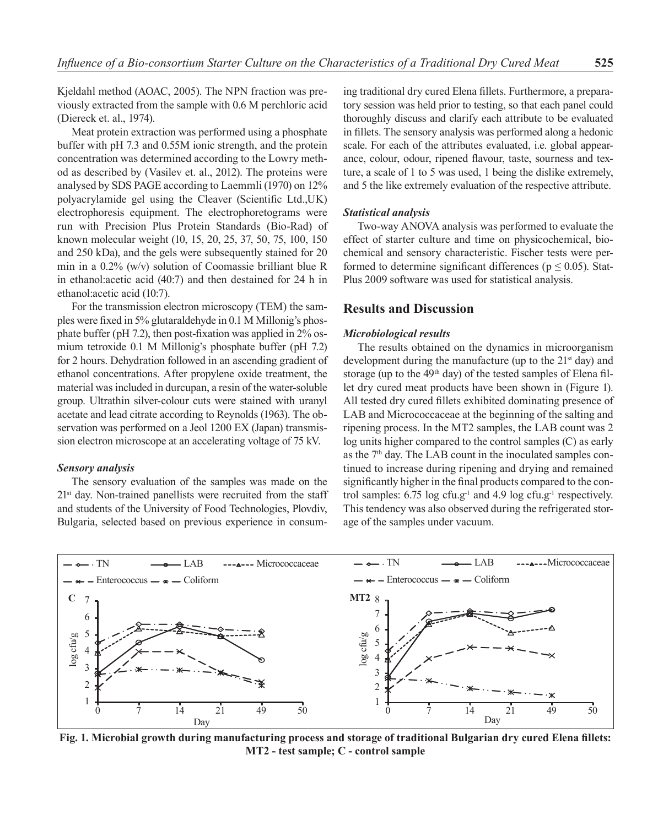Kjeldahl method (AOAC, 2005). The NPN fraction was previously extracted from the sample with 0.6 M perchloric acid (Diereck et. al., 1974).

Meat protein extraction was performed using a phosphate buffer with рН 7.3 and 0.55М ionic strength, and the protein concentration was determined according to the Lowry method as described by (Vasilev et. al., 2012). The proteins were analysed by SDS PAGE according to Laemmli (1970) on 12% polyacrylamide gel using the Cleaver (Scientific Ltd.,UK) electrophoresis equipment. The electrophoretograms were run with Precision Plus Protein Standards (Bio-Rad) of known molecular weight (10, 15, 20, 25, 37, 50, 75, 100, 150 and 250 kDa), and the gels were subsequently stained for 20 min in a 0.2% (w/v) solution of Coomassie brilliant blue R in ethanol:acetic acid (40:7) and then destained for 24 h in ethanol:acetic acid (10:7).

For the transmission electron microscopy (TEM) the samples were fixed in 5% glutaraldehyde in 0.1 M Millonig's phosphate buffer (pH 7.2), then post-fixation was applied in 2% osmium tetroxide 0.1 M Millonig's phosphate buffer (рН 7.2) for 2 hours. Dehydration followed in an ascending gradient of ethanol concentrations. After propylene oxide treatment, the material was included in durcupan, a resin of the water-soluble group. Ultrathin silver-colour cuts were stained with uranyl acetate and lead citrate according to Reynolds (1963). The observation was performed on a Jeol 1200 EX (Japan) transmission electron microscope at an accelerating voltage of 75 kV.

#### *Sensory analysis*

The sensory evaluation of the samples was made on the  $21<sup>st</sup>$  day. Non-trained panellists were recruited from the staff and students of the University of Food Technologies, Plovdiv, Bulgaria, selected based on previous experience in consum-

ing traditional dry cured Elena fillets. Furthermore, a preparatory session was held prior to testing, so that each panel could thoroughly discuss and clarify each attribute to be evaluated in fillets. The sensory analysis was performed along a hedonic scale. For each of the attributes evaluated, i.e. global appearance, colour, odour, ripened flavour, taste, sourness and texture, a scale of 1 to 5 was used, 1 being the dislike extremely, and 5 the like extremely evaluation of the respective attribute.

#### *Statistical analysis*

Two-way ANOVA analysis was performed to evaluate the effect of starter culture and time on physicochemical, biochemical and sensory characteristic. Fischer tests were performed to determine significant differences ( $p \le 0.05$ ). Stat-Plus 2009 software was used for statistical analysis.

## **Results and Discussion**

#### *Microbiological results*

The results obtained on the dynamics in microorganism development during the manufacture (up to the 21<sup>st</sup> day) and storage (up to the  $49<sup>th</sup>$  day) of the tested samples of Elena fillet dry cured meat products have been shown in (Figure 1). All tested dry cured fillets exhibited dominating presence of LAB and Micrococcaceae at the beginning of the salting and ripening process. In the MT2 samples, the LAB count was 2 log units higher compared to the control samples (C) as early as the  $7<sup>th</sup>$  day. The LAB count in the inoculated samples continued to increase during ripening and drying and remained significantly higher in the final products compared to the control samples:  $6.75 \log \text{c}$ fu.g<sup>-1</sup> and  $4.9 \log \text{c}$ fu.g<sup>-1</sup> respectively. This tendency was also observed during the refrigerated storage of the samples under vacuum.



**Fig. 1. Microbial growth during manufacturing process and storage of traditional Bulgarian dry cured Elena fillets: МТ2 - test sample; C - control sample**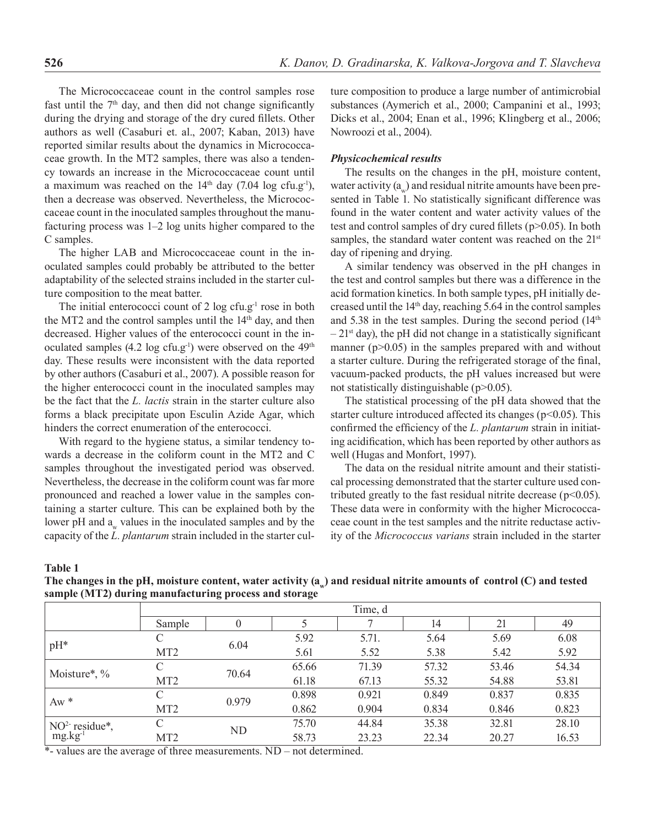The Micrococcaceae count in the control samples rose fast until the  $7<sup>th</sup>$  day, and then did not change significantly during the drying and storage of the dry cured fillets. Other authors as well (Casaburi et. al., 2007; Kaban, 2013) have reported similar results about the dynamics in Micrococcaceae growth. In the MT2 samples, there was also a tendency towards an increase in the Micrococcaceae count until a maximum was reached on the  $14<sup>th</sup>$  day (7.04 log cfu.g<sup>-1</sup>), then a decrease was observed. Nevertheless, the Micrococcaceae count in the inoculated samples throughout the manufacturing process was 1–2 log units higher compared to the C samples.

The higher LAB and Micrococcaceae count in the inoculated samples could probably be attributed to the better adaptability of the selected strains included in the starter culture composition to the meat batter.

The initial enterococci count of  $2 \log ctu.g^{-1}$  rose in both the MT2 and the control samples until the 14<sup>th</sup> day, and then decreased. Higher values of the enterococci count in the inoculated samples  $(4.2 \log c f u.g^{-1})$  were observed on the  $49<sup>th</sup>$ day. These results were inconsistent with the data reported by other authors (Casaburi et al., 2007). A possible reason for the higher enterococci count in the inoculated samples may be the fact that the *L. lactis* strain in the starter culture also forms a black precipitate upon Esculin Azide Agar, which hinders the correct enumeration of the enterococci.

With regard to the hygiene status, a similar tendency towards a decrease in the coliform count in the MT2 and C samples throughout the investigated period was observed. Nevertheless, the decrease in the coliform count was far more pronounced and reached a lower value in the samples containing a starter culture. This can be explained both by the lower pH and a<sub>w</sub> values in the inoculated samples and by the capacity of the *L. plantarum* strain included in the starter culture composition to produce a large number of antimicrobial substances (Aymerich et al., 2000; Campanini et al., 1993; Dicks et al., 2004; Enan et al., 1996; Klingberg et al., 2006; Nowroozi et al., 2004).

#### *Physicochemical results*

The results on the changes in the pH, moisture content, water activity  $(a)$  and residual nitrite amounts have been presented in Table 1. No statistically significant difference was found in the water content and water activity values of the test and control samples of dry cured fillets (p>0.05). In both samples, the standard water content was reached on the 21<sup>st</sup> day of ripening and drying.

A similar tendency was observed in the pH changes in the test and control samples but there was a difference in the acid formation kinetics. In both sample types, pH initially decreased until the 14th day, reaching 5.64 in the control samples and 5.38 in the test samples. During the second period (14th  $-21$ <sup>st</sup> day), the pH did not change in a statistically significant manner ( $p > 0.05$ ) in the samples prepared with and without a starter culture. During the refrigerated storage of the final, vacuum-packed products, the pH values increased but were not statistically distinguishable (p>0.05).

The statistical processing of the pH data showed that the starter culture introduced affected its changes ( $p$ <0.05). This confirmed the efficiency of the *L. plantarum* strain in initiating acidification, which has been reported by other authors as well (Hugas and Monfort, 1997).

The data on the residual nitrite amount and their statistical processing demonstrated that the starter culture used contributed greatly to the fast residual nitrite decrease ( $p<0.05$ ). These data were in conformity with the higher Micrococcaceae count in the test samples and the nitrite reductase activity of the *Micrococcus varians* strain included in the starter

**Table 1** 

**The changes in the pH, moisture content, water activity (аw) and residual nitrite amounts of control (C) and tested sample (MT2) during manufacturing process and storage**

|                                        | Time, d         |       |       |       |       |       |       |
|----------------------------------------|-----------------|-------|-------|-------|-------|-------|-------|
|                                        | Sample          | 0     |       |       | 14    | 21    | 49    |
| $pH*$                                  | C               | 6.04  | 5.92  | 5.71. | 5.64  | 5.69  | 6.08  |
|                                        | MT <sub>2</sub> |       | 5.61  | 5.52  | 5.38  | 5.42  | 5.92  |
| Moisture*, %                           | C               | 70.64 | 65.66 | 71.39 | 57.32 | 53.46 | 54.34 |
|                                        | MT <sub>2</sub> |       | 61.18 | 67.13 | 55.32 | 54.88 | 53.81 |
| $Aw *$                                 | C               | 0.979 | 0.898 | 0.921 | 0.849 | 0.837 | 0.835 |
|                                        | MT <sub>2</sub> |       | 0.862 | 0.904 | 0.834 | 0.846 | 0.823 |
| $NO2$ residue*,<br>mg.kg <sup>-1</sup> | C               | ND    | 75.70 | 44.84 | 35.38 | 32.81 | 28.10 |
|                                        | MT <sub>2</sub> |       | 58.73 | 23.23 | 22.34 | 20.27 | 16.53 |

\*- values are the average of three measurements. ND – not determined.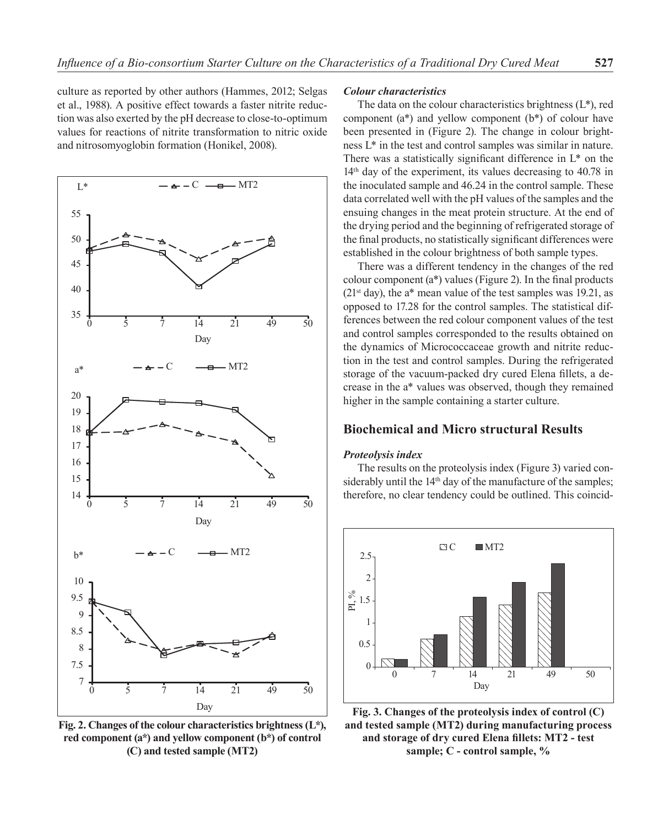culture as reported by other authors (Hammes, 2012; Selgas et al., 1988). A positive effect towards a faster nitrite reduction was also exerted by the pH decrease to close-to-optimum values for reactions of nitrite transformation to nitric oxide and nitrosomyoglobin formation (Honikel, 2008).



**Fig. 2. Changes of the colour characteristics brightness (L\*), red component (a\*) and yellow component (b\*) of control (C) and tested sample (MT2)**

#### *Colour characteristics*

The data on the colour characteristics brightness  $(L^*)$ , red component (a\*) and yellow component (b\*) of colour have been presented in (Figure 2). The change in colour brightness L\* in the test and control samples was similar in nature. There was a statistically significant difference in L\* on the 14<sup>th</sup> day of the experiment, its values decreasing to 40.78 in the inoculated sample and 46.24 in the control sample. These data correlated well with the pH values of the samples and the ensuing changes in the meat protein structure. At the end of the drying period and the beginning of refrigerated storage of the final products, no statistically significant differences were established in the colour brightness of both sample types.

There was a different tendency in the changes of the red colour component (а\*) values (Figure 2). In the final products  $(21^{st}$  day), the a\* mean value of the test samples was 19.21, as opposed to 17.28 for the control samples. The statistical differences between the red colour component values of the test and control samples corresponded to the results obtained on the dynamics of Micrococcaceae growth and nitrite reduction in the test and control samples. During the refrigerated storage of the vacuum-packed dry cured Elena fillets, a decrease in the а\* values was observed, though they remained higher in the sample containing a starter culture.

# **Biochemical and Micro structural Results**

#### *Proteolysis index*

The results on the proteolysis index (Figure 3) varied considerably until the 14<sup>th</sup> day of the manufacture of the samples; therefore, no clear tendency could be outlined. This coincid-



**Fig. 3. Changes of the proteolysis index of control (C) and tested sample (MT2) during manufacturing process and storage of dry cured Elena fillets: МТ2 - test sample; C - control sample, %**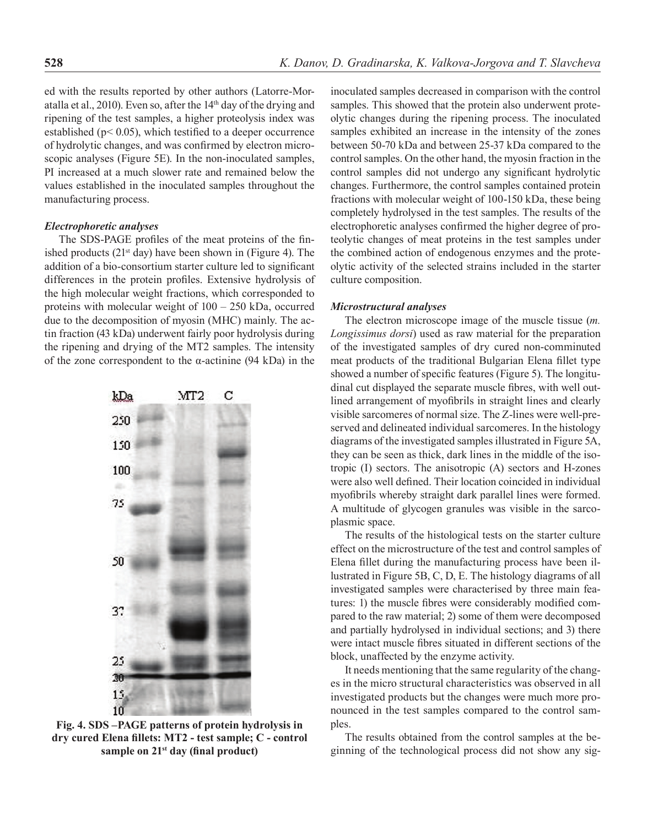ed with the results reported by other authors (Latorre-Moratalla et al., 2010). Even so, after the  $14<sup>th</sup>$  day of the drying and ripening of the test samples, a higher proteolysis index was established ( $p$ < 0.05), which testified to a deeper occurrence of hydrolytic changes, and was confirmed by electron microscopic analyses (Figure 5E). In the non-inoculated samples, PI increased at a much slower rate and remained below the values established in the inoculated samples throughout the manufacturing process.

#### *Electrophoretic analyses*

The SDS-PAGE profiles of the meat proteins of the finished products ( $21<sup>st</sup>$  day) have been shown in (Figure 4). The addition of a bio-consortium starter culture led to significant differences in the protein profiles. Extensive hydrolysis of the high molecular weight fractions, which corresponded to proteins with molecular weight of 100 – 250 kDa, occurred due to the decomposition of myosin (МHC) mainly. The actin fraction (43 kDa) underwent fairly poor hydrolysis during the ripening and drying of the MT2 samples. The intensity of the zone correspondent to the α-actinine (94 kDa) in the



**Fig. 4. SDS –PAGE patterns of protein hydrolysis in dry cured Elena fillets: МТ2 - test sample; C - control sample on 21st day (final product)**

inoculated samples decreased in comparison with the control samples. This showed that the protein also underwent proteolytic changes during the ripening process. The inoculated samples exhibited an increase in the intensity of the zones between 50-70 kDa and between 25-37 kDа compared to the control samples. On the other hand, the myosin fraction in the control samples did not undergo any significant hydrolytic changes. Furthermore, the control samples contained protein fractions with molecular weight of 100-150 kDa, these being completely hydrolysed in the test samples. The results of the electrophoretic analyses confirmed the higher degree of proteolytic changes of meat proteins in the test samples under the combined action of endogenous enzymes and the proteolytic activity of the selected strains included in the starter culture composition.

#### *Microstructural analyses*

The electron microscope image of the muscle tissue (*m. Longissimus dorsi*) used as raw material for the preparation of the investigated samples of dry cured non-comminuted meat products of the traditional Bulgarian Elena fillet type showed a number of specific features (Figure 5). The longitudinal cut displayed the separate muscle fibres, with well outlined arrangement of myofibrils in straight lines and clearly visible sarcomeres of normal size. The Z-lines were well-preserved and delineated individual sarcomeres. In the histology diagrams of the investigated samples illustrated in Figure 5A, they can be seen as thick, dark lines in the middle of the isotropic (I) sectors. The anisotropic (A) sectors and H-zones were also well defined. Their location coincided in individual myofibrils whereby straight dark parallel lines were formed. A multitude of glycogen granules was visible in the sarcoplasmic space.

The results of the histological tests on the starter culture effect on the microstructure of the test and control samples of Elena fillet during the manufacturing process have been illustrated in Figure 5B, C, D, E. The histology diagrams of all investigated samples were characterised by three main features: 1) the muscle fibres were considerably modified compared to the raw material; 2) some of them were decomposed and partially hydrolysed in individual sections; and 3) there were intact muscle fibres situated in different sections of the block, unaffected by the enzyme activity.

It needs mentioning that the same regularity of the changes in the micro structural characteristics was observed in all investigated products but the changes were much more pronounced in the test samples compared to the control samples.

The results obtained from the control samples at the beginning of the technological process did not show any sig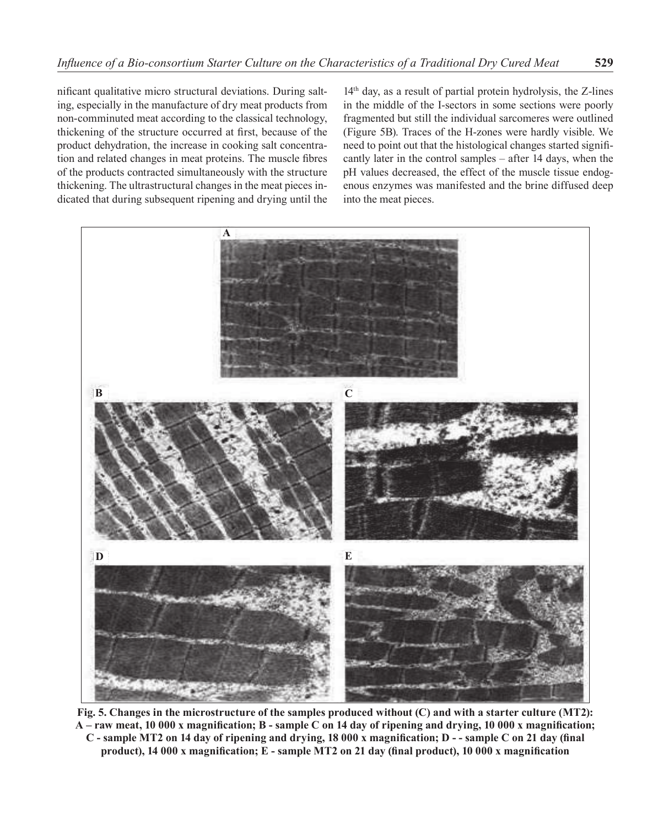nificant qualitative micro structural deviations. During salting, especially in the manufacture of dry meat products from non-comminuted meat according to the classical technology, thickening of the structure occurred at first, because of the product dehydration, the increase in cooking salt concentration and related changes in meat proteins. The muscle fibres of the products contracted simultaneously with the structure thickening. The ultrastructural changes in the meat pieces indicated that during subsequent ripening and drying until the

14th day, as a result of partial protein hydrolysis, the Z-lines in the middle of the I-sectors in some sections were poorly fragmented but still the individual sarcomeres were outlined (Figure 5B). Traces of the H-zones were hardly visible. We need to point out that the histological changes started significantly later in the control samples – after 14 days, when the pH values decreased, the effect of the muscle tissue endogenous enzymes was manifested and the brine diffused deep into the meat pieces.



**Fig. 5. Changes in the microstructure of the samples produced without (C) and with a starter culture (MT2): A – raw meat, 10 000 x magnification; B - sample C on 14 day of ripening and drying, 10 000 x magnification; C - sample MT2 on 14 day of ripening and drying, 18 000 x magnification; D - - sample C on 21 day (final product), 14 000 x magnification; E - sample MT2 on 21 day (final product), 10 000 x magnification**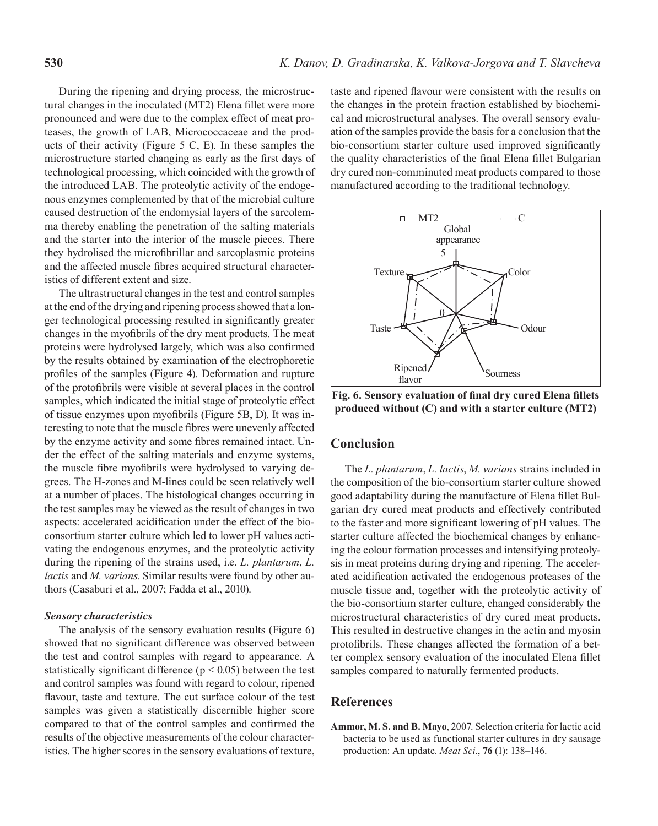During the ripening and drying process, the microstructural changes in the inoculated (MT2) Elena fillet were more pronounced and were due to the complex effect of meat proteases, the growth of LAB, Micrococcaceae and the products of their activity (Figure 5 C, E). In these samples the microstructure started changing as early as the first days of technological processing, which coincided with the growth of the introduced LAB. The proteolytic activity of the endogenous enzymes complemented by that of the microbial culture caused destruction of the endomysial layers of the sarcolemma thereby enabling the penetration of the salting materials and the starter into the interior of the muscle pieces. There they hydrolised the microfibrillar and sarcoplasmic proteins and the affected muscle fibres acquired structural characteristics of different extent and size.

The ultrastructural changes in the test and control samples at the end of the drying and ripening process showed that a longer technological processing resulted in significantly greater changes in the myofibrils of the dry meat products. The meat proteins were hydrolysed largely, which was also confirmed by the results obtained by examination of the electrophoretic profiles of the samples (Figure 4). Deformation and rupture of the protofibrils were visible at several places in the control samples, which indicated the initial stage of proteolytic effect of tissue enzymes upon myofibrils (Figure 5B, D). It was interesting to note that the muscle fibres were unevenly affected by the enzyme activity and some fibres remained intact. Under the effect of the salting materials and enzyme systems, the muscle fibre myofibrils were hydrolysed to varying degrees. The H-zones and M-lines could be seen relatively well at a number of places. The histological changes occurring in the test samples may be viewed as the result of changes in two aspects: accelerated acidification under the effect of the bioconsortium starter culture which led to lower pH values activating the endogenous enzymes, and the proteolytic activity during the ripening of the strains used, i.e. *L. plantarum*, *L. lactis* and *M. varians*. Similar results were found by other authors (Casaburi et al., 2007; Fadda et al., 2010).

#### *Sensory characteristics*

The analysis of the sensory evaluation results (Figure 6) showed that no significant difference was observed between the test and control samples with regard to appearance. A statistically significant difference ( $p < 0.05$ ) between the test and control samples was found with regard to colour, ripened flavour, taste and texture. The cut surface colour of the test samples was given a statistically discernible higher score compared to that of the control samples and confirmed the results of the objective measurements of the colour characteristics. The higher scores in the sensory evaluations of texture, taste and ripened flavour were consistent with the results on the changes in the protein fraction established by biochemical and microstructural analyses. The overall sensory evaluation of the samples provide the basis for a conclusion that the bio-consortium starter culture used improved significantly the quality characteristics of the final Elena fillet Bulgarian dry cured non-comminuted meat products compared to those manufactured according to the traditional technology.



**Fig. 6. Sensory evaluation of final dry cured Elena fillets produced without (C) and with a starter culture (MT2)**

# **Conclusion**

The *L. plantarum*, *L. lactis*, *M. varians* strains included in the composition of the bio-consortium starter culture showed good adaptability during the manufacture of Elena fillet Bulgarian dry cured meat products and effectively contributed to the faster and more significant lowering of pH values. The starter culture affected the biochemical changes by enhancing the colour formation processes and intensifying proteolysis in meat proteins during drying and ripening. The accelerated acidification activated the endogenous proteases of the muscle tissue and, together with the proteolytic activity of the bio-consortium starter culture, changed considerably the microstructural characteristics of dry cured meat products. This resulted in destructive changes in the actin and myosin protofibrils. These changes affected the formation of a better complex sensory evaluation of the inoculated Elena fillet samples compared to naturally fermented products.

## **References**

**Ammor, M. S. and B. Mayo**, 2007. Selection criteria for lactic acid bacteria to be used as functional starter cultures in dry sausage production: An update. *Meat Sci.*, **76** (1): 138–146.